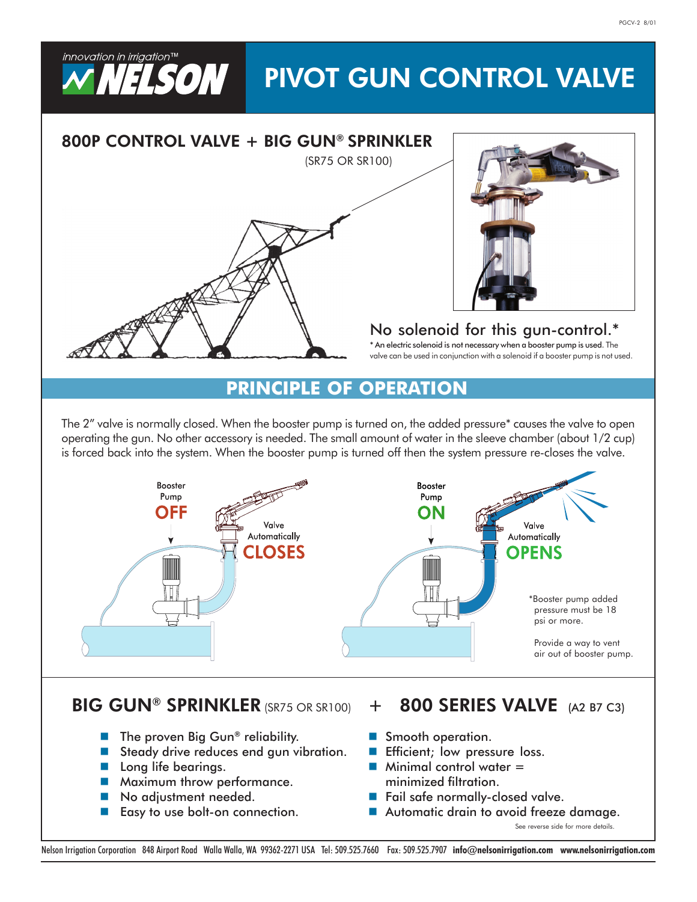# PIVOT GUN CONTROL VALVE



# BIG GUN® SPRINKLER (SR75 OR SR100) + 800 SERIES VALVE (A2 B7 C3)

- $\blacksquare$  The proven Big Gun® reliability.
- Steady drive reduces end gun vibration.
- **Long life bearings.**

innovation in irrigation™

**WELSON I** 

- **Maximum throw performance.**
- No adjustment needed.
- Easy to use bolt-on connection.

- Smooth operation.
- **Efficient**; low pressure loss.
- **Minimal control water**  $=$ minimized filtration.
- Fail safe normally-closed valve.
- Automatic drain to avoid freeze damage.

See reverse side for more details.

Nelson Irrigation Corporation 848 Airport Road Walla Walla, WA 99362-2271 USA Tel: 509.525.7660 Fax: 509.525.7907 info@nelsonirrigation.com www.nelsonirrigation.com